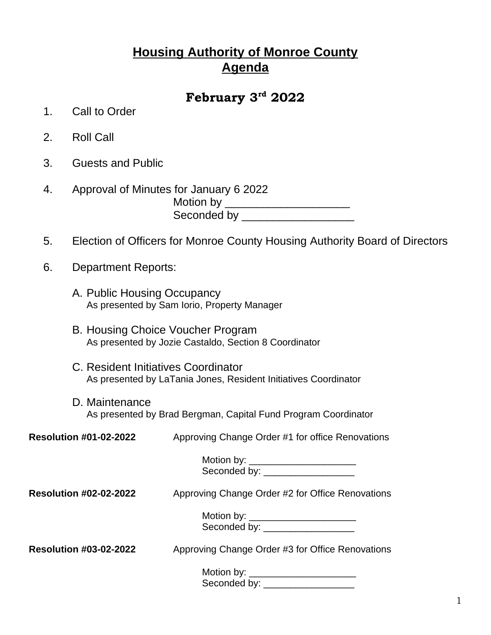## **Housing Authority of Monroe County Agenda**

## **February 3rd 2022**

- 1. Call to Order
- 2. Roll Call
- 3. Guests and Public
- 4. Approval of Minutes for January 6 2022 Motion by \_\_\_\_\_\_\_\_\_\_\_\_\_\_\_\_\_\_\_\_\_\_\_\_\_ Seconded by \_\_\_\_\_\_\_\_\_\_\_\_\_\_\_\_\_\_\_\_\_\_\_
- 5. Election of Officers for Monroe County Housing Authority Board of Directors
- 6. Department Reports:
	- A. Public Housing Occupancy As presented by Sam Iorio, Property Manager
	- B. Housing Choice Voucher Program As presented by Jozie Castaldo, Section 8 Coordinator
	- C. Resident Initiatives Coordinator As presented by LaTania Jones, Resident Initiatives Coordinator
	- D. Maintenance As presented by Brad Bergman, Capital Fund Program Coordinator

| <b>Resolution #01-02-2022</b> | Approving Change Order #1 for office Renovations                        |
|-------------------------------|-------------------------------------------------------------------------|
|                               | Motion by: ________________________<br>Seconded by: __________________  |
| <b>Resolution #02-02-2022</b> | Approving Change Order #2 for Office Renovations                        |
|                               | Motion by: ________________________<br>Seconded by: ___________________ |
| <b>Resolution #03-02-2022</b> | Approving Change Order #3 for Office Renovations                        |
|                               | Motion by: _______________________<br>Seconded by: ___________________  |